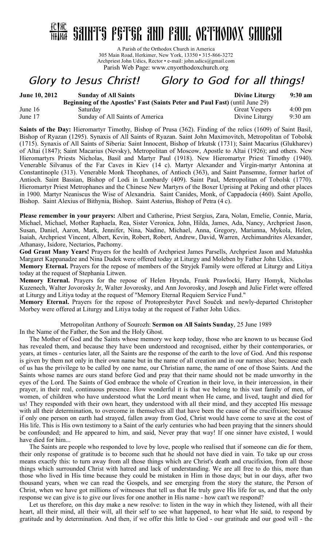# $\frac{10180}{hHR}$  saints egter and eaul orthodox church

A Parish of the Orthodox Church in America 305 Main Road, Herkimer, New York, 13350 • 315-866-3272 Archpriest John Udics, Rector • e-mail: john.udics@gmail.com Parish Web Page: www.cnyorthodoxchurch.org

## *Glory to Jesus Christ! Glory to God for all things!*

| <b>June 10, 2012</b> | <b>Sunday of All Saints</b>                                                         | <b>Divine Liturgy</b> | $9:30$ am         |
|----------------------|-------------------------------------------------------------------------------------|-----------------------|-------------------|
|                      | <b>Beginning of the Apostles' Fast (Saints Peter and Paul Fast) (until June 29)</b> |                       |                   |
| June $16$            | Saturday                                                                            | <b>Great Vespers</b>  | $4:00 \text{ pm}$ |
| June 17              | Sunday of All Saints of America                                                     | Divine Liturgy        | $9:30 \text{ am}$ |

**Saints of the Day:** Hieromartyr Timothy, Bishop of Prusa (362). Finding of the relics (1609) of Saint Basil, Bishop of Ryazan (1295). Synaxis of All Saints of Ryazan. Saint John Maximovitch, Metropolitan of Tobolsk (1715). Synaxis of All Saints of Siberia: Saint Innocent, Bishop of Irkutsk (1731); Saint Macarius (Glukharev) of Altai (1847); Saint Macarius (Nevsky), Metropolitan of Moscow, Apostle to Altai (1926); and others. New Hieromartyrs Priests Nicholas, Basil and Martyr Paul (1918). New Hieromartyr Priest Timothy (1940). Venerable Silvanus of the Far Caves in Kiev (14 c). Martyr Alexander and Virgin-martyr Antonina at Constantinople (313). Venerable Monk Theophanes, of Antioch (363), and Saint Pansemne, former harlot of Antioch. Saint Bassian, Bishop of Lodi in Lombardy (409). Saint Paul, Metropolitan of Tobolsk (1770). Hieromartyr Priest Metrophanes and the Chinese New Martyrs of the Boxer Uprising at Peking and other places in 1900. Martyr Neaniscus the Wise of Alexandria. Saint Canides, Monk, of Cappadocia (460). Saint Apollo, Bishop. Saint Alexius of Bithynia, Bishop. Saint Asterius, Bishop of Petra (4 c).

**Please remember in your prayers:** Albert and Catherine, Priest Sergius, Zara, Nolan, Emelie, Connie, Maria, Michael, Michael, Mother Raphaela, Rea, Sister Veronica, John, Hilda, James, Ada, Nancy, Archpriest Jason, Susan, Daniel, Aaron, Mark, Jennifer, Nina, Nadine, Michael, Anna, Gregory, Marianna, Mykola, Helen, Isaiah, Archpriest Vincent, Albert, Kevin, Robert, Robert, Andrew, David, Warren, Archimandrites Alexander, Athanasy, Isidore, Nectarios, Pachomy.

**God Grant Many Years!** Prayers for the health of Archpriest James Parsells, Archpriest Jason and Matushka Margaret Kappanadze and Nina Dudek were offered today at Liturgy and Moleben by Father John Udics.

**Memory Eternal.** Prayers for the repose of members of the Stryjek Family were offered at Liturgy and Litiya today at the request of Stephania Litwen.

**Memory Eternal.** Prayers for the repose of Helen Hrynda, Frank Prawlocki, Harry Homyk, Nicholas Kuzenech, Walter Jovorosky Jr, Walter Jovorosky, and Ann Jovorosky, and Joseph and Julie Firlet were offered at Liturgy and Litiya today at the request of "Memory Eternal Requiem Service Fund."

**Memory Eternal.** Prayers for the repose of Protopresbyter Pavel Souček and newly-departed Christopher Morbey were offered at Liturgy and Litiya today at the request of Father John Udics.

Metropolitan Anthony of Sourozh: **Sermon on All Saints Sunday**, 25 June 1989

In the Name of the Father, the Son and the Holy Ghost.

The Mother of God and the Saints whose memory we keep today, those who are known to us because God has revealed them, and because they have been understood and recognised, either by their contemporaries, or years, at times - centuries later, all the Saints are the response of the earth to the love of God. And this response is given by them not only in their own name but in the name of all creation and in our names also; because each of us has the privilege to be called by one name, our Christian name, the name of one of those Saints. And the Saints whose names are ours stand before God and pray that their name should not be made unworthy in the eyes of the Lord. The Saints of God embrace the whole of Creation in their love, in their intercession, in their prayer, in their real, continuous presence. How wonderful it is that we belong to this vast family of men, of women, of children who have understood what the Lord meant when He came, and lived, taught and died for us! They responded with their own heart, they understood with all their mind, and they accepted His message with all their determination, to overcome in themselves all that have been the cause of the crucifixion; because if only one person on earth had strayed, fallen away from God, Christ would have come to save at the cost of His life. This is His own testimony to a Saint of the early centuries who had been praying that the sinners should be confounded; and He appeared to him, and said, Never pray that way! If one sinner have existed, I would have died for him...

The Saints are people who responded to love by love, people who realised that if someone can die for them, their only response of gratitude is to become such that he should not have died in vain. To take up our cross means exactly this: to turn away from all those things which are Christ's death and crucifixion, from all those things which surrounded Christ with hatred and lack of understanding. We are all free to do this, more than those who lived in His time because they could be mistaken in Him in those days; but in our days, after two thousand years, when we can read the Gospels, and see emerging from the story the stature, the Person of Christ, when we have got millions of witnesses that tell us that He truly gave His life for us, and that the only response we can give is to give our lives for one another in His name - how can't we respond?

Let us therefore, on this day make a new resolve: to listen in the way in which they listened, with all their heart, all their mind, all their will, all their self to see what happened, to hear what He said, to respond by gratitude and by determination. And then, if we offer this little to God - our gratitude and our good will - the